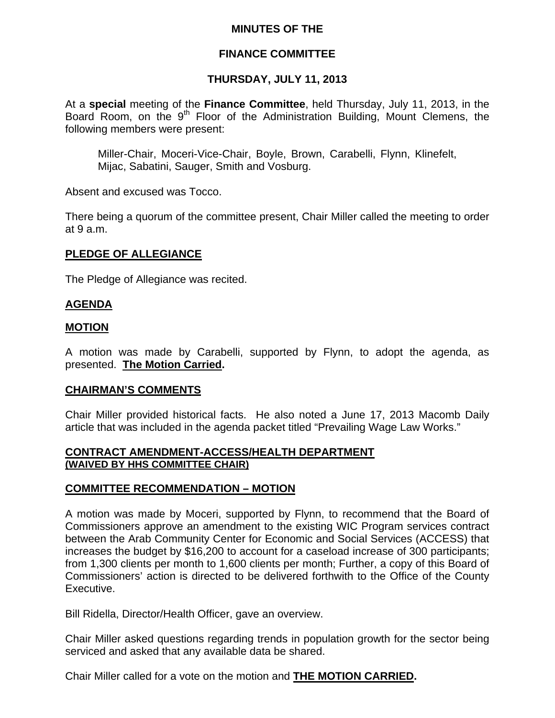### **MINUTES OF THE**

### **FINANCE COMMITTEE**

## **THURSDAY, JULY 11, 2013**

At a **special** meeting of the **Finance Committee**, held Thursday, July 11, 2013, in the Board Room, on the 9<sup>th</sup> Floor of the Administration Building, Mount Clemens, the following members were present:

Miller-Chair, Moceri-Vice-Chair, Boyle, Brown, Carabelli, Flynn, Klinefelt, Mijac, Sabatini, Sauger, Smith and Vosburg.

Absent and excused was Tocco.

There being a quorum of the committee present, Chair Miller called the meeting to order at 9 a.m.

### **PLEDGE OF ALLEGIANCE**

The Pledge of Allegiance was recited.

### **AGENDA**

#### **MOTION**

A motion was made by Carabelli, supported by Flynn, to adopt the agenda, as presented. **The Motion Carried.** 

#### **CHAIRMAN'S COMMENTS**

Chair Miller provided historical facts. He also noted a June 17, 2013 Macomb Daily article that was included in the agenda packet titled "Prevailing Wage Law Works."

#### **CONTRACT AMENDMENT-ACCESS/HEALTH DEPARTMENT (WAIVED BY HHS COMMITTEE CHAIR)**

### **COMMITTEE RECOMMENDATION – MOTION**

A motion was made by Moceri, supported by Flynn, to recommend that the Board of Commissioners approve an amendment to the existing WIC Program services contract between the Arab Community Center for Economic and Social Services (ACCESS) that increases the budget by \$16,200 to account for a caseload increase of 300 participants; from 1,300 clients per month to 1,600 clients per month; Further, a copy of this Board of Commissioners' action is directed to be delivered forthwith to the Office of the County Executive.

Bill Ridella, Director/Health Officer, gave an overview.

Chair Miller asked questions regarding trends in population growth for the sector being serviced and asked that any available data be shared.

Chair Miller called for a vote on the motion and **THE MOTION CARRIED.**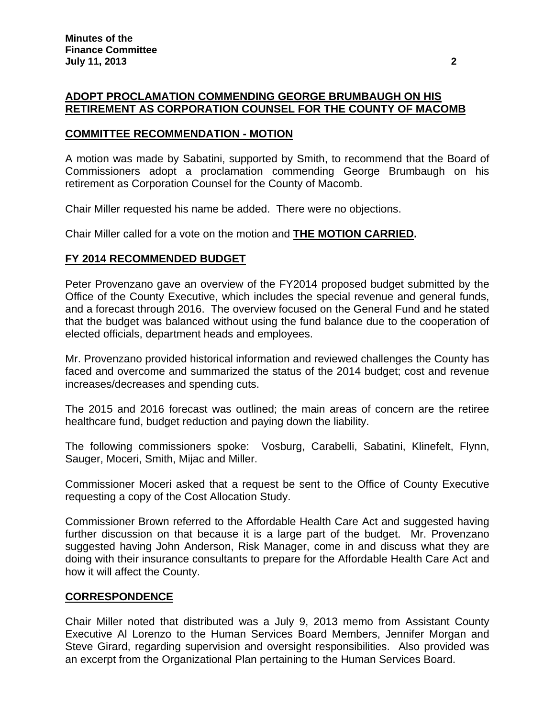## **ADOPT PROCLAMATION COMMENDING GEORGE BRUMBAUGH ON HIS RETIREMENT AS CORPORATION COUNSEL FOR THE COUNTY OF MACOMB**

### **COMMITTEE RECOMMENDATION - MOTION**

A motion was made by Sabatini, supported by Smith, to recommend that the Board of Commissioners adopt a proclamation commending George Brumbaugh on his retirement as Corporation Counsel for the County of Macomb.

Chair Miller requested his name be added. There were no objections.

Chair Miller called for a vote on the motion and **THE MOTION CARRIED.** 

### **FY 2014 RECOMMENDED BUDGET**

Peter Provenzano gave an overview of the FY2014 proposed budget submitted by the Office of the County Executive, which includes the special revenue and general funds, and a forecast through 2016. The overview focused on the General Fund and he stated that the budget was balanced without using the fund balance due to the cooperation of elected officials, department heads and employees.

Mr. Provenzano provided historical information and reviewed challenges the County has faced and overcome and summarized the status of the 2014 budget; cost and revenue increases/decreases and spending cuts.

The 2015 and 2016 forecast was outlined; the main areas of concern are the retiree healthcare fund, budget reduction and paying down the liability.

The following commissioners spoke: Vosburg, Carabelli, Sabatini, Klinefelt, Flynn, Sauger, Moceri, Smith, Mijac and Miller.

Commissioner Moceri asked that a request be sent to the Office of County Executive requesting a copy of the Cost Allocation Study.

Commissioner Brown referred to the Affordable Health Care Act and suggested having further discussion on that because it is a large part of the budget. Mr. Provenzano suggested having John Anderson, Risk Manager, come in and discuss what they are doing with their insurance consultants to prepare for the Affordable Health Care Act and how it will affect the County.

#### **CORRESPONDENCE**

Chair Miller noted that distributed was a July 9, 2013 memo from Assistant County Executive Al Lorenzo to the Human Services Board Members, Jennifer Morgan and Steve Girard, regarding supervision and oversight responsibilities. Also provided was an excerpt from the Organizational Plan pertaining to the Human Services Board.